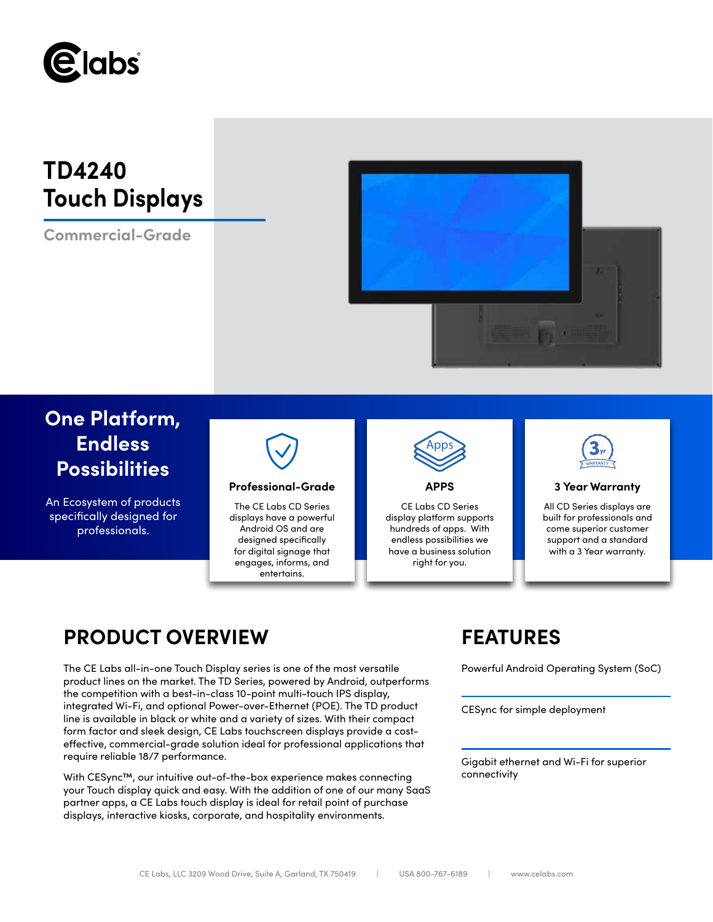

# **TD4240 Touch Displays**

**Commercial-Grade**



# **One Platform, Endless Possibilities**

An Ecosystem of products specifically designed for professionals.



## **Professional-Grade APPS 3 Year Warranty**

The CE Labs CD Series displays have a powerful Android OS and are designed specifically for digital signage that engages, informs, and entertains.



CE Labs CD Series display platform supports hundreds of apps. With endless possibilities we have a business solution right for you.



All CD Series displays are built for professionals and come superior customer support and a standard with a 3 Year warranty.

# **PRODUCT OVERVIEW FEATURES**

The CE Labs all-in-one Touch Display series is one of the most versatile Powerful Android Operating System (SoC) product lines on the market. The TD Series, powered by Android, outperforms the competition with a best-in-class 10-point multi-touch IPS display, integrated Wi-Fi, and optional Power-over-Ethernet (POE). The TD product line is available in black or white and a variety of sizes. With their compact form factor and sleek design, CE Labs touchscreen displays provide a costeffective, commercial-grade solution ideal for professional applications that require reliable 18/7 performance.

With CESync™, our intuitive out-of-the-box experience makes connecting your Touch display quick and easy. With the addition of one of our many SaaS partner apps, a CE Labs touch display is ideal for retail point of purchase displays, interactive kiosks, corporate, and hospitality environments.

CESync for simple deployment

Gigabit ethernet and Wi-Fi for superior connectivity